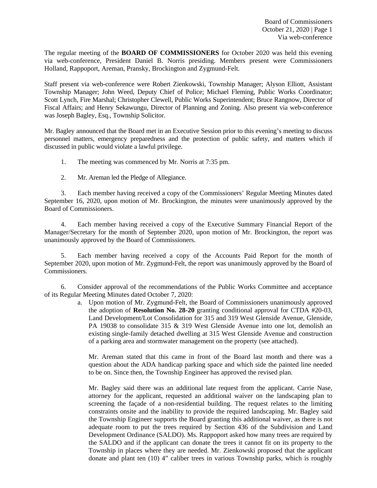Board of Commissioners October 21, 2020 | Page 1 Via web-conference

The regular meeting of the **BOARD OF COMMISSIONERS** for October 2020 was held this evening via web-conference, President Daniel B. Norris presiding. Members present were Commissioners Holland, Rappoport, Areman, Pransky, Brockington and Zygmund-Felt.

Staff present via web-conference were Robert Zienkowski, Township Manager; Alyson Elliott, Assistant Township Manager; John Weed, Deputy Chief of Police; Michael Fleming, Public Works Coordinator; Scott Lynch, Fire Marshal; Christopher Clewell, Public Works Superintendent; Bruce Rangnow, Director of Fiscal Affairs; and Henry Sekawungu, Director of Planning and Zoning. Also present via web-conference was Joseph Bagley, Esq., Township Solicitor.

Mr. Bagley announced that the Board met in an Executive Session prior to this evening's meeting to discuss personnel matters, emergency preparedness and the protection of public safety, and matters which if discussed in public would violate a lawful privilege.

1. The meeting was commenced by Mr. Norris at 7:35 pm.

2. Mr. Areman led the Pledge of Allegiance.

3. Each member having received a copy of the Commissioners' Regular Meeting Minutes dated September 16, 2020, upon motion of Mr. Brockington, the minutes were unanimously approved by the Board of Commissioners.

4. Each member having received a copy of the Executive Summary Financial Report of the Manager/Secretary for the month of September 2020, upon motion of Mr. Brockington, the report was unanimously approved by the Board of Commissioners.

5. Each member having received a copy of the Accounts Paid Report for the month of September 2020, upon motion of Mr. Zygmund-Felt, the report was unanimously approved by the Board of Commissioners.

6. Consider approval of the recommendations of the Public Works Committee and acceptance of its Regular Meeting Minutes dated October 7, 2020:

a. Upon motion of Mr. Zygmund-Felt, the Board of Commissioners unanimously approved the adoption of **Resolution No. 28-20** granting conditional approval for CTDA #20-03, Land Development/Lot Consolidation for 315 and 319 West Glenside Avenue, Glenside, PA 19038 to consolidate 315 & 319 West Glenside Avenue into one lot, demolish an existing single-family detached dwelling at 315 West Glenside Avenue and construction of a parking area and stormwater management on the property (see attached).

Mr. Areman stated that this came in front of the Board last month and there was a question about the ADA handicap parking space and which side the painted line needed to be on. Since then, the Township Engineer has approved the revised plan.

Mr. Bagley said there was an additional late request from the applicant. Carrie Nase, attorney for the applicant, requested an additional waiver on the landscaping plan to screening the façade of a non-residential building. The request relates to the limiting constraints onsite and the inability to provide the required landscaping. Mr. Bagley said the Township Engineer supports the Board granting this additional waiver, as there is not adequate room to put the trees required by Section 436 of the Subdivision and Land Development Ordinance (SALDO). Ms. Rappoport asked how many trees are required by the SALDO and if the applicant can donate the trees it cannot fit on its property to the Township in places where they are needed. Mr. Zienkowski proposed that the applicant donate and plant ten (10) 4" caliber trees in various Township parks, which is roughly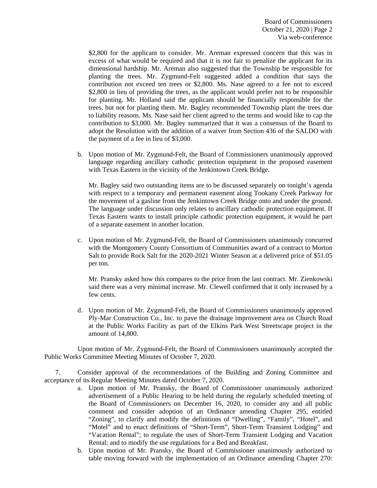Board of Commissioners October 21, 2020 | Page 2 Via web-conference

\$2,800 for the applicant to consider. Mr. Areman expressed concern that this was in excess of what would be required and that it is not fair to penalize the applicant for its dimensional hardship. Mr. Areman also suggested that the Township be responsible for planting the trees. Mr. Zygmund-Felt suggested added a condition that says the contribution not exceed ten trees or \$2,800. Ms. Nase agreed to a fee not to exceed \$2,800 in lieu of providing the trees, as the applicant would prefer not to be responsible for planting. Mr. Holland said the applicant should be financially responsible for the trees, but not for planting them. Mr. Bagley recommended Township plant the trees due to liability reasons. Ms. Nase said her client agreed to the terms and would like to cap the contribution to \$3,000. Mr. Bagley summarized that it was a consensus of the Board to adopt the Resolution with the addition of a waiver from Section 436 of the SALDO with the payment of a fee in lieu of \$3,000.

b. Upon motion of Mr. Zygmund-Felt, the Board of Commissioners unanimously approved language regarding ancillary cathodic protection equipment in the proposed easement with Texas Eastern in the vicinity of the Jenkintown Creek Bridge.

Mr. Bagley said two outstanding items are to be discussed separately on tonight's agenda with respect to a temporary and permanent easement along Tookany Creek Parkway for the movement of a gasline from the Jenkintown Creek Bridge onto and under the ground. The language under discussion only relates to ancillary cathodic protection equipment. If Texas Eastern wants to install principle cathodic protection equipment, it would be part of a separate easement in another location.

c. Upon motion of Mr. Zygmund-Felt, the Board of Commissioners unanimously concurred with the Montgomery County Consortium of Communities award of a contract to Morton Salt to provide Rock Salt for the 2020-2021 Winter Season at a delivered price of \$51.05 per ton.

Mr. Pransky asked how this compares to the price from the last contract. Mr. Zienkowski said there was a very minimal increase. Mr. Clewell confirmed that it only increased by a few cents.

d. Upon motion of Mr. Zygmund-Felt, the Board of Commissioners unanimously approved Ply-Mar Construction Co., Inc. to pave the drainage improvement area on Church Road at the Public Works Facility as part of the Elkins Park West Streetscape project in the amount of 14,800.

Upon motion of Mr. Zygmund-Felt, the Board of Commissioners unanimously accepted the Public Works Committee Meeting Minutes of October 7, 2020.

7. Consider approval of the recommendations of the Building and Zoning Committee and acceptance of its Regular Meeting Minutes dated October 7, 2020.

- a. Upon motion of Mr. Pransky, the Board of Commissioner unanimously authorized advertisement of a Public Hearing to be held during the regularly scheduled meeting of the Board of Commissioners on December 16, 2020, to consider any and all public comment and consider adoption of an Ordinance amending Chapter 295, entitled "Zoning", to clarify and modify the definitions of "Dwelling", "Family", "Hotel", and "Motel" and to enact definitions of "Short-Term", Short-Term Transient Lodging" and "Vacation Rental"; to regulate the uses of Short-Term Transient Lodging and Vacation Rental; and to modify the use regulations for a Bed and Breakfast.
- b. Upon motion of Mr. Pransky, the Board of Commissioner unanimously authorized to table moving forward with the implementation of an Ordinance amending Chapter 270: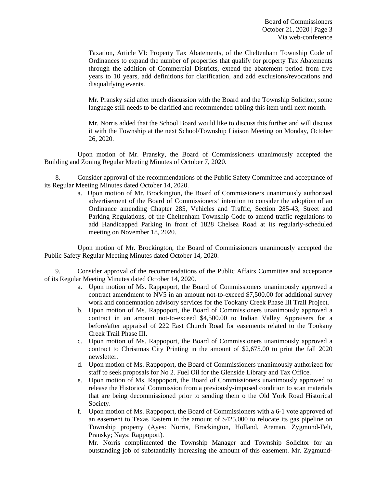Taxation, Article VI: Property Tax Abatements, of the Cheltenham Township Code of Ordinances to expand the number of properties that qualify for property Tax Abatements through the addition of Commercial Districts, extend the abatement period from five years to 10 years, add definitions for clarification, and add exclusions/revocations and disqualifying events.

Mr. Pransky said after much discussion with the Board and the Township Solicitor, some language still needs to be clarified and recommended tabling this item until next month.

Mr. Norris added that the School Board would like to discuss this further and will discuss it with the Township at the next School/Township Liaison Meeting on Monday, October 26, 2020.

Upon motion of Mr. Pransky, the Board of Commissioners unanimously accepted the Building and Zoning Regular Meeting Minutes of October 7, 2020.

8. Consider approval of the recommendations of the Public Safety Committee and acceptance of its Regular Meeting Minutes dated October 14, 2020.

> a. Upon motion of Mr. Brockington, the Board of Commissioners unanimously authorized advertisement of the Board of Commissioners' intention to consider the adoption of an Ordinance amending Chapter 285, Vehicles and Traffic, Section 285-43, Street and Parking Regulations, of the Cheltenham Township Code to amend traffic regulations to add Handicapped Parking in front of 1828 Chelsea Road at its regularly-scheduled meeting on November 18, 2020.

Upon motion of Mr. Brockington, the Board of Commissioners unanimously accepted the Public Safety Regular Meeting Minutes dated October 14, 2020.

9. Consider approval of the recommendations of the Public Affairs Committee and acceptance of its Regular Meeting Minutes dated October 14, 2020.

- a. Upon motion of Ms. Rappoport, the Board of Commissioners unanimously approved a contract amendment to NV5 in an amount not-to-exceed \$7,500.00 for additional survey work and condemnation advisory services for the Tookany Creek Phase III Trail Project.
- b. Upon motion of Ms. Rappoport, the Board of Commissioners unanimously approved a contract in an amount not-to-exceed \$4,500.00 to Indian Valley Appraisers for a before/after appraisal of 222 East Church Road for easements related to the Tookany Creek Trail Phase III.
- c. Upon motion of Ms. Rappoport, the Board of Commissioners unanimously approved a contract to Christmas City Printing in the amount of \$2,675.00 to print the fall 2020 newsletter.
- d. Upon motion of Ms. Rappoport, the Board of Commissioners unanimously authorized for staff to seek proposals for No 2. Fuel Oil for the Glenside Library and Tax Office.
- e. Upon motion of Ms. Rappoport, the Board of Commissioners unanimously approved to release the Historical Commission from a previously-imposed condition to scan materials that are being decommissioned prior to sending them o the Old York Road Historical Society.
- f. Upon motion of Ms. Rappoport, the Board of Commissioners with a 6-1 vote approved of an easement to Texas Eastern in the amount of \$425,000 to relocate its gas pipeline on Township property (Ayes: Norris, Brockington, Holland, Areman, Zygmund-Felt, Pransky; Nays: Rappoport).

Mr. Norris complimented the Township Manager and Township Solicitor for an outstanding job of substantially increasing the amount of this easement. Mr. Zygmund-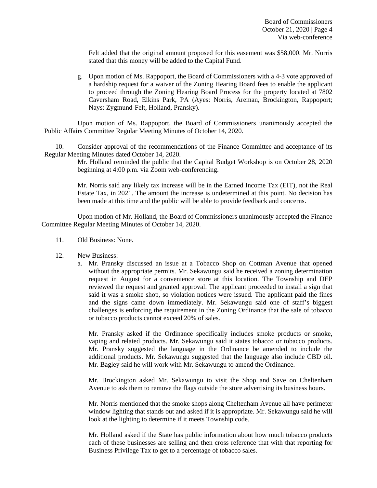Felt added that the original amount proposed for this easement was \$58,000. Mr. Norris stated that this money will be added to the Capital Fund.

g. Upon motion of Ms. Rappoport, the Board of Commissioners with a 4-3 vote approved of a hardship request for a waiver of the Zoning Hearing Board fees to enable the applicant to proceed through the Zoning Hearing Board Process for the property located at 7802 Caversham Road, Elkins Park, PA (Ayes: Norris, Areman, Brockington, Rappoport; Nays: Zygmund-Felt, Holland, Pransky).

Upon motion of Ms. Rappoport, the Board of Commissioners unanimously accepted the Public Affairs Committee Regular Meeting Minutes of October 14, 2020.

10. Consider approval of the recommendations of the Finance Committee and acceptance of its Regular Meeting Minutes dated October 14, 2020.

> Mr. Holland reminded the public that the Capital Budget Workshop is on October 28, 2020 beginning at 4:00 p.m. via Zoom web-conferencing.

> Mr. Norris said any likely tax increase will be in the Earned Income Tax (EIT), not the Real Estate Tax, in 2021. The amount the increase is undetermined at this point. No decision has been made at this time and the public will be able to provide feedback and concerns.

Upon motion of Mr. Holland, the Board of Commissioners unanimously accepted the Finance Committee Regular Meeting Minutes of October 14, 2020.

- 11. Old Business: None.
- 12. New Business:
	- a. Mr. Pransky discussed an issue at a Tobacco Shop on Cottman Avenue that opened without the appropriate permits. Mr. Sekawungu said he received a zoning determination request in August for a convenience store at this location. The Township and DEP reviewed the request and granted approval. The applicant proceeded to install a sign that said it was a smoke shop, so violation notices were issued. The applicant paid the fines and the signs came down immediately. Mr. Sekawungu said one of staff's biggest challenges is enforcing the requirement in the Zoning Ordinance that the sale of tobacco or tobacco products cannot exceed 20% of sales.

Mr. Pransky asked if the Ordinance specifically includes smoke products or smoke, vaping and related products. Mr. Sekawungu said it states tobacco or tobacco products. Mr. Pransky suggested the language in the Ordinance be amended to include the additional products. Mr. Sekawungu suggested that the language also include CBD oil. Mr. Bagley said he will work with Mr. Sekawungu to amend the Ordinance.

Mr. Brockington asked Mr. Sekawungu to visit the Shop and Save on Cheltenham Avenue to ask them to remove the flags outside the store advertising its business hours.

Mr. Norris mentioned that the smoke shops along Cheltenham Avenue all have perimeter window lighting that stands out and asked if it is appropriate. Mr. Sekawungu said he will look at the lighting to determine if it meets Township code.

Mr. Holland asked if the State has public information about how much tobacco products each of these businesses are selling and then cross reference that with that reporting for Business Privilege Tax to get to a percentage of tobacco sales.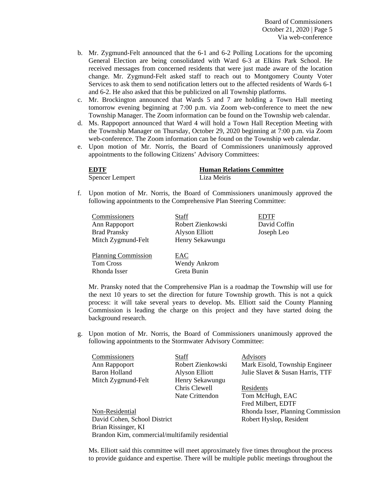Board of Commissioners October 21, 2020 | Page 5 Via web-conference

- b. Mr. Zygmund-Felt announced that the 6-1 and 6-2 Polling Locations for the upcoming General Election are being consolidated with Ward 6-3 at Elkins Park School. He received messages from concerned residents that were just made aware of the location change. Mr. Zygmund-Felt asked staff to reach out to Montgomery County Voter Services to ask them to send notification letters out to the affected residents of Wards 6-1 and 6-2. He also asked that this be publicized on all Township platforms.
- c. Mr. Brockington announced that Wards 5 and 7 are holding a Town Hall meeting tomorrow evening beginning at 7:00 p.m. via Zoom web-conference to meet the new Township Manager. The Zoom information can be found on the Township web calendar.
- d. Ms. Rappoport announced that Ward 4 will hold a Town Hall Reception Meeting with the Township Manager on Thursday, October 29, 2020 beginning at 7:00 p.m. via Zoom web-conference. The Zoom information can be found on the Township web calendar.
- e. Upon motion of Mr. Norris, the Board of Commissioners unanimously approved appointments to the following Citizens' Advisory Committees:

**EDTF Human Relations Committee**  Spencer Lempert Liza Meiris

f. Upon motion of Mr. Norris, the Board of Commissioners unanimously approved the following appointments to the Comprehensive Plan Steering Committee:

| Commissioners              | Staff               | <b>EDTF</b>  |
|----------------------------|---------------------|--------------|
| Ann Rappoport              | Robert Zienkowski   | David Coffin |
| <b>Brad Pransky</b>        | Alyson Elliott      | Joseph Leo   |
| Mitch Zygmund-Felt         | Henry Sekawungu     |              |
|                            |                     |              |
| <b>Planning Commission</b> | EAC                 |              |
| <b>Tom Cross</b>           | <b>Wendy Ankrom</b> |              |
| Rhonda Isser               | Greta Bunin         |              |

 Mr. Pransky noted that the Comprehensive Plan is a roadmap the Township will use for the next 10 years to set the direction for future Township growth. This is not a quick process: it will take several years to develop. Ms. Elliott said the County Planning Commission is leading the charge on this project and they have started doing the background research.

g. Upon motion of Mr. Norris, the Board of Commissioners unanimously approved the following appointments to the Stormwater Advisory Committee:

| Commissioners                                   | Staff             | Advisors                          |  |
|-------------------------------------------------|-------------------|-----------------------------------|--|
| Ann Rappoport                                   | Robert Zienkowski | Mark Eisold, Township Engineer    |  |
| Baron Holland                                   | Alyson Elliott    | Julie Slavet & Susan Harris, TTF  |  |
| Mitch Zygmund-Felt                              | Henry Sekawungu   |                                   |  |
|                                                 | Chris Clewell     | Residents                         |  |
|                                                 | Nate Crittendon   | Tom McHugh, EAC                   |  |
|                                                 |                   | Fred Milbert, EDTF                |  |
| Non-Residential                                 |                   | Rhonda Isser, Planning Commission |  |
| David Cohen, School District                    |                   | Robert Hyslop, Resident           |  |
| Brian Rissinger, KI                             |                   |                                   |  |
| Brandon Kim, commercial/multifamily residential |                   |                                   |  |

Ms. Elliott said this committee will meet approximately five times throughout the process to provide guidance and expertise. There will be multiple public meetings throughout the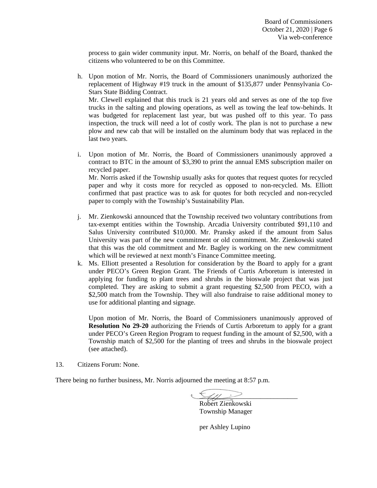process to gain wider community input. Mr. Norris, on behalf of the Board, thanked the citizens who volunteered to be on this Committee.

- h. Upon motion of Mr. Norris, the Board of Commissioners unanimously authorized the replacement of Highway #19 truck in the amount of \$135,877 under Pennsylvania Co-Stars State Bidding Contract. Mr. Clewell explained that this truck is 21 years old and serves as one of the top five trucks in the salting and plowing operations, as well as towing the leaf tow-behinds. It was budgeted for replacement last year, but was pushed off to this year. To pass inspection, the truck will need a lot of costly work. The plan is not to purchase a new plow and new cab that will be installed on the aluminum body that was replaced in the last two years.
- i. Upon motion of Mr. Norris, the Board of Commissioners unanimously approved a contract to BTC in the amount of \$3,390 to print the annual EMS subscription mailer on recycled paper. Mr. Norris asked if the Township usually asks for quotes that request quotes for recycled

paper and why it costs more for recycled as opposed to non-recycled. Ms. Elliott confirmed that past practice was to ask for quotes for both recycled and non-recycled paper to comply with the Township's Sustainability Plan.

- j. Mr. Zienkowski announced that the Township received two voluntary contributions from tax-exempt entities within the Township. Arcadia University contributed \$91,110 and Salus University contributed \$10,000. Mr. Pransky asked if the amount from Salus University was part of the new commitment or old commitment. Mr. Zienkowski stated that this was the old commitment and Mr. Bagley is working on the new commitment which will be reviewed at next month's Finance Committee meeting.
- k. Ms. Elliott presented a Resolution for consideration by the Board to apply for a grant under PECO's Green Region Grant. The Friends of Curtis Arboretum is interested in applying for funding to plant trees and shrubs in the bioswale project that was just completed. They are asking to submit a grant requesting \$2,500 from PECO, with a \$2,500 match from the Township. They will also fundraise to raise additional money to use for additional planting and signage.

Upon motion of Mr. Norris, the Board of Commissioners unanimously approved of **Resolution No 29-20** authorizing the Friends of Curtis Arboretum to apply for a grant under PECO's Green Region Program to request funding in the amount of \$2,500, with a Township match of \$2,500 for the planting of trees and shrubs in the bioswale project (see attached).

13. Citizens Forum: None.

There being no further business, Mr. Norris adjourned the meeting at 8:57 p.m.

 $\zeta_{\prime\prime\prime} >$ 

 Robert Zienkowski Township Manager

per Ashley Lupino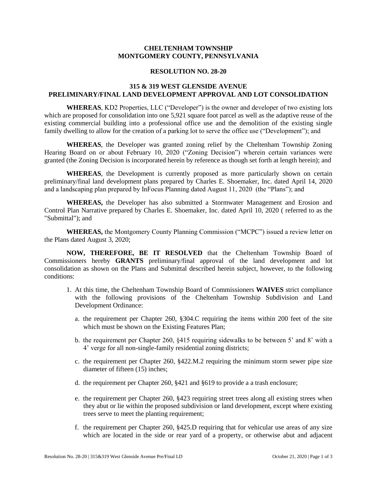### **CHELTENHAM TOWNSHIP MONTGOMERY COUNTY, PENNSYLVANIA**

### **RESOLUTION NO. 28-20**

## **315 & 319 WEST GLENSIDE AVENUE PRELIMINARY/FINAL LAND DEVELOPMENT APPROVAL AND LOT CONSOLIDATION**

**WHEREAS**, KD2 Properties, LLC ("Developer") is the owner and developer of two existing lots which are proposed for consolidation into one 5,921 square foot parcel as well as the adaptive reuse of the existing commercial building into a professional office use and the demolition of the existing single family dwelling to allow for the creation of a parking lot to serve the office use ("Development"); and

**WHEREAS**, the Developer was granted zoning relief by the Cheltenham Township Zoning Hearing Board on or about February 10, 2020 ("Zoning Decision") wherein certain variances were granted (the Zoning Decision is incorporated herein by reference as though set forth at length herein); and

**WHEREAS**, the Development is currently proposed as more particularly shown on certain preliminary/final land development plans prepared by Charles E. Shoemaker, Inc. dated April 14, 2020 and a landscaping plan prepared by InFocus Planning dated August 11, 2020 (the "Plans"); and

**WHEREAS,** the Developer has also submitted a Stormwater Management and Erosion and Control Plan Narrative prepared by Charles E. Shoemaker, Inc. dated April 10, 2020 ( referred to as the "Submittal"); and

**WHEREAS,** the Montgomery County Planning Commission ("MCPC") issued a review letter on the Plans dated August 3, 2020;

**NOW, THEREFORE, BE IT RESOLVED** that the Cheltenham Township Board of Commissioners hereby **GRANTS** preliminary/final approval of the land development and lot consolidation as shown on the Plans and Submittal described herein subject, however, to the following conditions:

- 1. At this time, the Cheltenham Township Board of Commissioners **WAIVES** strict compliance with the following provisions of the Cheltenham Township Subdivision and Land Development Ordinance:
	- a. the requirement per Chapter 260, §304.C requiring the items within 200 feet of the site which must be shown on the Existing Features Plan;
	- b. the requirement per Chapter 260, §415 requiring sidewalks to be between 5' and 8' with a 4' verge for all non-single-family residential zoning districts;
	- c. the requirement per Chapter 260, §422.M.2 requiring the minimum storm sewer pipe size diameter of fifteen (15) inches;
	- d. the requirement per Chapter 260, §421 and §619 to provide a a trash enclosure;
	- e. the requirement per Chapter 260, §423 requiring street trees along all existing strees when they abut or lie within the proposed subdivision or land development, except where existing trees serve to meet the planting requirement;
	- f. the requirement per Chapter 260, §425.D requiring that for vehicular use areas of any size which are located in the side or rear yard of a property, or otherwise abut and adjacent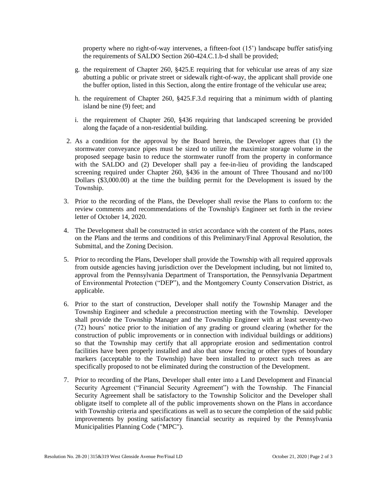property where no right-of-way intervenes, a fifteen-foot (15') landscape buffer satisfying the requirements of SALDO Section 260-424.C.1.b-d shall be provided;

- g. the requirement of Chapter 260, §425.E requiring that for vehicular use areas of any size abutting a public or private street or sidewalk right-of-way, the applicant shall provide one the buffer option, listed in this Section, along the entire frontage of the vehicular use area;
- h. the requirement of Chapter 260, §425.F.3.d requiring that a minimum width of planting island be nine (9) feet; and
- i. the requirement of Chapter 260, §436 requiring that landscaped screening be provided along the façade of a non-residential building.
- 2. As a condition for the approval by the Board herein, the Developer agrees that (1) the stormwater conveyance pipes must be sized to utilize the maximize storage volume in the proposed seepage basin to reduce the stormwater runoff from the property in conformance with the SALDO and (2) Developer shall pay a fee-in-lieu of providing the landscaped screening required under Chapter 260, §436 in the amount of Three Thousand and no/100 Dollars (\$3,000.00) at the time the building permit for the Development is issued by the Township.
- 3. Prior to the recording of the Plans, the Developer shall revise the Plans to conform to: the review comments and recommendations of the Township's Engineer set forth in the review letter of October 14, 2020.
- 4. The Development shall be constructed in strict accordance with the content of the Plans, notes on the Plans and the terms and conditions of this Preliminary/Final Approval Resolution, the Submittal, and the Zoning Decision.
- 5. Prior to recording the Plans, Developer shall provide the Township with all required approvals from outside agencies having jurisdiction over the Development including, but not limited to, approval from the Pennsylvania Department of Transportation, the Pennsylvania Department of Environmental Protection ("DEP"), and the Montgomery County Conservation District, as applicable.
- 6. Prior to the start of construction, Developer shall notify the Township Manager and the Township Engineer and schedule a preconstruction meeting with the Township. Developer shall provide the Township Manager and the Township Engineer with at least seventy-two (72) hours' notice prior to the initiation of any grading or ground clearing (whether for the construction of public improvements or in connection with individual buildings or additions) so that the Township may certify that all appropriate erosion and sedimentation control facilities have been properly installed and also that snow fencing or other types of boundary markers (acceptable to the Township) have been installed to protect such trees as are specifically proposed to not be eliminated during the construction of the Development.
- 7. Prior to recording of the Plans, Developer shall enter into a Land Development and Financial Security Agreement ("Financial Security Agreement") with the Township. The Financial Security Agreement shall be satisfactory to the Township Solicitor and the Developer shall obligate itself to complete all of the public improvements shown on the Plans in accordance with Township criteria and specifications as well as to secure the completion of the said public improvements by posting satisfactory financial security as required by the Pennsylvania Municipalities Planning Code ("MPC").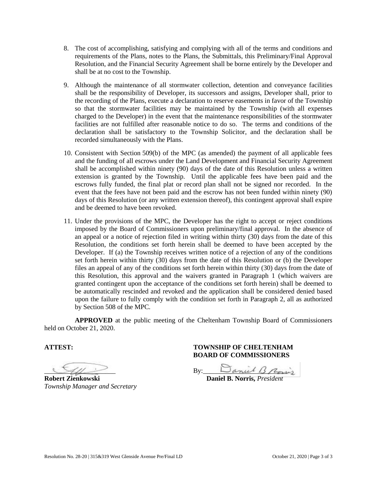- 8. The cost of accomplishing, satisfying and complying with all of the terms and conditions and requirements of the Plans, notes to the Plans, the Submittals, this Preliminary/Final Approval Resolution, and the Financial Security Agreement shall be borne entirely by the Developer and shall be at no cost to the Township.
- 9. Although the maintenance of all stormwater collection, detention and conveyance facilities shall be the responsibility of Developer, its successors and assigns, Developer shall, prior to the recording of the Plans, execute a declaration to reserve easements in favor of the Township so that the stormwater facilities may be maintained by the Township (with all expenses charged to the Developer) in the event that the maintenance responsibilities of the stormwater facilities are not fulfilled after reasonable notice to do so. The terms and conditions of the declaration shall be satisfactory to the Township Solicitor, and the declaration shall be recorded simultaneously with the Plans.
- 10. Consistent with Section 509(b) of the MPC (as amended) the payment of all applicable fees and the funding of all escrows under the Land Development and Financial Security Agreement shall be accomplished within ninety (90) days of the date of this Resolution unless a written extension is granted by the Township. Until the applicable fees have been paid and the escrows fully funded, the final plat or record plan shall not be signed nor recorded. In the event that the fees have not been paid and the escrow has not been funded within ninety (90) days of this Resolution (or any written extension thereof), this contingent approval shall expire and be deemed to have been revoked.
- 11. Under the provisions of the MPC, the Developer has the right to accept or reject conditions imposed by the Board of Commissioners upon preliminary/final approval. In the absence of an appeal or a notice of rejection filed in writing within thirty (30) days from the date of this Resolution, the conditions set forth herein shall be deemed to have been accepted by the Developer. If (a) the Township receives written notice of a rejection of any of the conditions set forth herein within thirty (30) days from the date of this Resolution or (b) the Developer files an appeal of any of the conditions set forth herein within thirty (30) days from the date of this Resolution, this approval and the waivers granted in Paragraph 1 (which waivers are granted contingent upon the acceptance of the conditions set forth herein) shall be deemed to be automatically rescinded and revoked and the application shall be considered denied based upon the failure to fully comply with the condition set forth in Paragraph 2, all as authorized by Section 508 of the MPC.

**APPROVED** at the public meeting of the Cheltenham Township Board of Commissioners held on October 21, 2020.

*Township Manager and Secretary* 

# **ATTEST: TOWNSHIP OF CHELTENHAM BOARD OF COMMISSIONERS**

 $By:$  By:  $\Box$  anul  $\Box$  Pon

**Robert Zienkowski Daniel B. Norris,** *President*